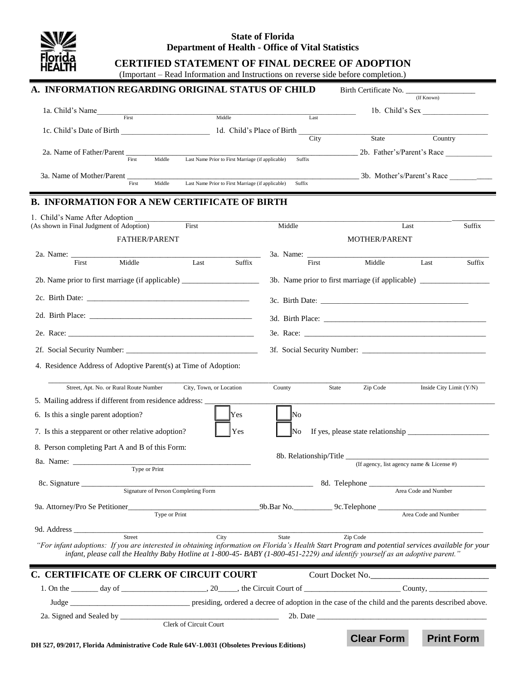

### **State of Florida Department of Health - Office of Vital Statistics**

# **CERTIFIED STATEMENT OF FINAL DECREE OF ADOPTION**

(Important – Read Information and Instructions on reverse side before completion.)

| A. INFORMATION REGARDING ORIGINAL STATUS OF CHILD                                                                                                 |                                                   |                    | Birth Certificate No.                                                             | (If Known)                                  |        |
|---------------------------------------------------------------------------------------------------------------------------------------------------|---------------------------------------------------|--------------------|-----------------------------------------------------------------------------------|---------------------------------------------|--------|
| 1a. Child's Name                                                                                                                                  |                                                   |                    | 1b. Child's Sex                                                                   |                                             |        |
| First                                                                                                                                             | Middle                                            | Last               |                                                                                   |                                             |        |
| 1c. Child's Date of Birth 1. 1d. Child's Place of Birth                                                                                           |                                                   |                    |                                                                                   | Country                                     |        |
|                                                                                                                                                   |                                                   | City               | State                                                                             |                                             |        |
| 2a. Name of Father/Parent __<br>Middle<br>First                                                                                                   | Last Name Prior to First Marriage (if applicable) | Suffix             |                                                                                   | 2b. Father's/Parent's Race                  |        |
|                                                                                                                                                   |                                                   |                    | 3b. Mother's/Parent's Race                                                        |                                             |        |
| 3a. Name of Mother/Parent __<br>Middle<br>First                                                                                                   | Last Name Prior to First Marriage (if applicable) | Suffix             |                                                                                   |                                             |        |
| <b>B. INFORMATION FOR A NEW CERTIFICATE OF BIRTH</b>                                                                                              |                                                   |                    |                                                                                   |                                             |        |
|                                                                                                                                                   |                                                   |                    |                                                                                   |                                             |        |
| 1. Child's Name After Adoption<br>(As shown in Final Judgment of Adoption)                                                                        | First                                             | Middle             |                                                                                   | Last                                        | Suffix |
|                                                                                                                                                   | FATHER/PARENT                                     |                    | <b>MOTHER/PARENT</b>                                                              |                                             |        |
|                                                                                                                                                   |                                                   |                    |                                                                                   |                                             |        |
| 2a. Name: 2008.<br>Middle<br>First                                                                                                                | Last<br>Suffix                                    | 3a. Name:<br>First | Middle                                                                            | Last                                        | Suffix |
|                                                                                                                                                   |                                                   |                    | 3b. Name prior to first marriage (if applicable) ________________________________ |                                             |        |
| 2b. Name prior to first marriage (if applicable) _______________________________                                                                  |                                                   |                    |                                                                                   |                                             |        |
|                                                                                                                                                   |                                                   |                    |                                                                                   |                                             |        |
| 2d. Birth Place:                                                                                                                                  |                                                   |                    |                                                                                   |                                             |        |
|                                                                                                                                                   |                                                   |                    |                                                                                   |                                             |        |
|                                                                                                                                                   |                                                   |                    |                                                                                   |                                             |        |
|                                                                                                                                                   |                                                   |                    |                                                                                   |                                             |        |
| 4. Residence Address of Adoptive Parent(s) at Time of Adoption:                                                                                   |                                                   |                    |                                                                                   |                                             |        |
|                                                                                                                                                   |                                                   |                    |                                                                                   |                                             |        |
| Street, Apt. No. or Rural Route Number City, Town, or Location                                                                                    |                                                   | County             | Zip Code<br>State                                                                 | Inside City Limit (Y/N)                     |        |
| 5. Mailing address if different from residence address: ____                                                                                      |                                                   |                    |                                                                                   |                                             |        |
| 6. Is this a single parent adoption?                                                                                                              | Yes                                               | No                 |                                                                                   |                                             |        |
| 7. Is this a stepparent or other relative adoption?                                                                                               | Yes                                               | No                 |                                                                                   |                                             |        |
| 8. Person completing Part A and B of this Form:                                                                                                   |                                                   |                    |                                                                                   |                                             |        |
|                                                                                                                                                   |                                                   |                    |                                                                                   |                                             |        |
| Type or Print                                                                                                                                     |                                                   |                    |                                                                                   | (If agency, list agency name $&$ License #) |        |
| 8c. Signature                                                                                                                                     |                                                   |                    | 8d. Telephone ______                                                              |                                             |        |
| Signature of Person Completing Form                                                                                                               |                                                   |                    |                                                                                   | Area Code and Number                        |        |
| 9a. Attorney/Pro Se Petitioner Type or Print 9b.Bar No. 9c. Telephone Area Code and Nu                                                            |                                                   |                    |                                                                                   |                                             |        |
|                                                                                                                                                   |                                                   |                    |                                                                                   | Area Code and Number                        |        |
| 9d. Address<br>Street                                                                                                                             | City                                              | State              | Zip Code                                                                          |                                             |        |
| "For infant adoptions: If you are interested in obtaining information on Florida's Health Start Program and potential services available for your |                                                   |                    |                                                                                   |                                             |        |
| infant, please call the Healthy Baby Hotline at 1-800-45- BABY (1-800-451-2229) and identify yourself as an adoptive parent."                     |                                                   |                    |                                                                                   |                                             |        |
| C. CERTIFICATE OF CLERK OF CIRCUIT COURT                                                                                                          |                                                   |                    | Court Docket No.                                                                  |                                             |        |
|                                                                                                                                                   |                                                   |                    |                                                                                   |                                             |        |
|                                                                                                                                                   |                                                   |                    |                                                                                   |                                             |        |
|                                                                                                                                                   |                                                   | 2b. Date           |                                                                                   |                                             |        |
|                                                                                                                                                   | Clerk of Circuit Court                            |                    |                                                                                   |                                             |        |